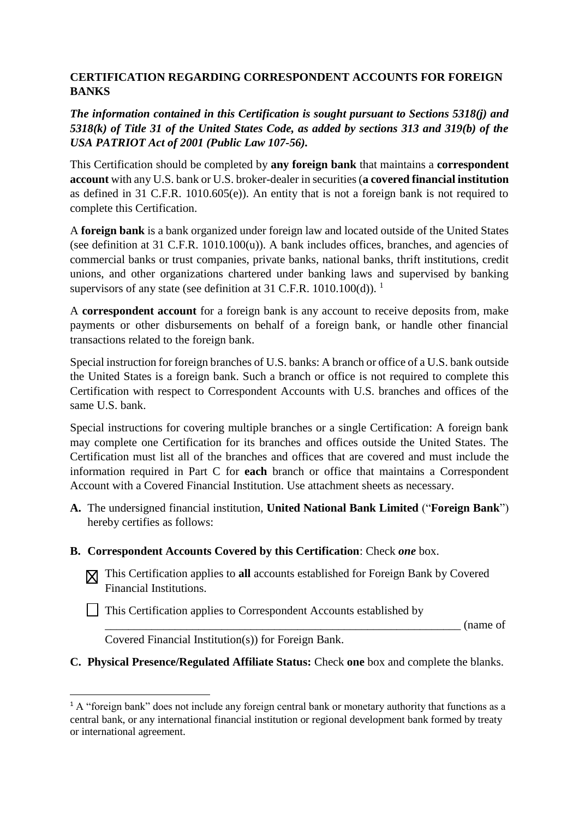## **CERTIFICATION REGARDING CORRESPONDENT ACCOUNTS FOR FOREIGN BANKS**

*The information contained in this Certification is sought pursuant to Sections 5318(j) and 5318(k) of Title 31 of the United States Code, as added by sections 313 and 319(b) of the USA PATRIOT Act of 2001 (Public Law 107-56).*

This Certification should be completed by **any foreign bank** that maintains a **correspondent account** with any U.S. bank or U.S. broker-dealer in securities (**a covered financial institution** as defined in 31 C.F.R. 1010.605(e)). An entity that is not a foreign bank is not required to complete this Certification.

A **foreign bank** is a bank organized under foreign law and located outside of the United States (see definition at 31 C.F.R. 1010.100(u)). A bank includes offices, branches, and agencies of commercial banks or trust companies, private banks, national banks, thrift institutions, credit unions, and other organizations chartered under banking laws and supervised by banking supervisors of any state (see definition at 31 C.F.R. 1010.100(d)). <sup>1</sup>

A **correspondent account** for a foreign bank is any account to receive deposits from, make payments or other disbursements on behalf of a foreign bank, or handle other financial transactions related to the foreign bank.

Special instruction for foreign branches of U.S. banks: A branch or office of a U.S. bank outside the United States is a foreign bank. Such a branch or office is not required to complete this Certification with respect to Correspondent Accounts with U.S. branches and offices of the same U.S. bank.

Special instructions for covering multiple branches or a single Certification: A foreign bank may complete one Certification for its branches and offices outside the United States. The Certification must list all of the branches and offices that are covered and must include the information required in Part C for **each** branch or office that maintains a Correspondent Account with a Covered Financial Institution. Use attachment sheets as necessary.

- **A.** The undersigned financial institution, **United National Bank Limited** ("**Foreign Bank**") hereby certifies as follows:
- **B. Correspondent Accounts Covered by this Certification**: Check *one* box.
	- This Certification applies to **all** accounts established for Foreign Bank by Covered Financial Institutions.
	- This Certification applies to Correspondent Accounts established by

\_\_\_\_\_\_\_\_\_\_\_\_\_\_\_\_\_\_\_\_\_\_\_\_\_\_\_\_\_\_\_\_\_\_\_\_\_\_\_\_\_\_\_\_\_\_\_\_\_\_\_\_\_\_\_\_\_\_\_\_\_ (name of

Covered Financial Institution(s)) for Foreign Bank.

**.** 

**C. Physical Presence/Regulated Affiliate Status:** Check **one** box and complete the blanks.

<sup>&</sup>lt;sup>1</sup> A "foreign bank" does not include any foreign central bank or monetary authority that functions as a central bank, or any international financial institution or regional development bank formed by treaty or international agreement.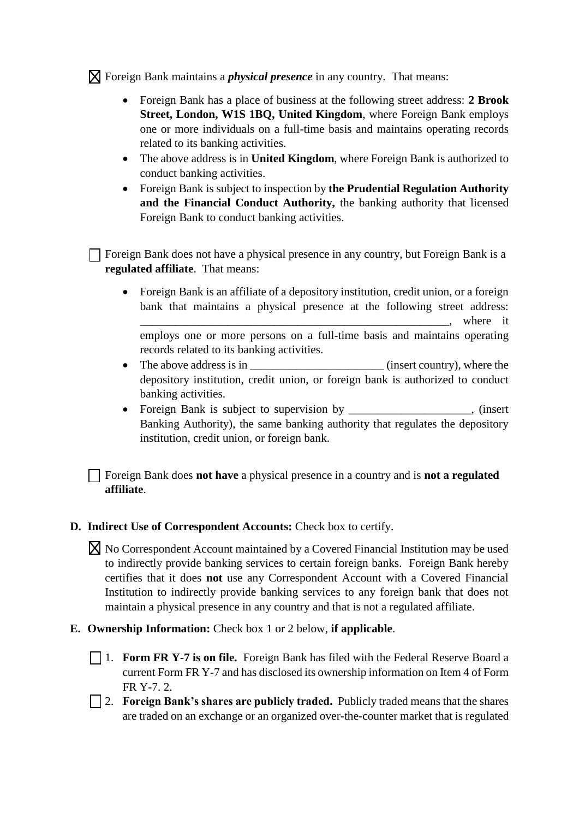Foreign Bank maintains a *physical presence* in any country. That means:

- Foreign Bank has a place of business at the following street address: **2 Brook Street, London, W1S 1BQ, United Kingdom**, where Foreign Bank employs one or more individuals on a full-time basis and maintains operating records related to its banking activities.
- The above address is in **United Kingdom**, where Foreign Bank is authorized to conduct banking activities.
- Foreign Bank is subject to inspection by **the Prudential Regulation Authority and the Financial Conduct Authority,** the banking authority that licensed Foreign Bank to conduct banking activities.

Foreign Bank does not have a physical presence in any country, but Foreign Bank is a **regulated affiliate**. That means:

- Foreign Bank is an affiliate of a depository institution, credit union, or a foreign bank that maintains a physical presence at the following street address: where it employs one or more persons on a full-time basis and maintains operating records related to its banking activities.
- The above address is in \_\_\_\_\_\_\_\_\_\_\_\_\_\_\_\_\_\_\_\_\_\_\_ (insert country), where the depository institution, credit union, or foreign bank is authorized to conduct banking activities.
- Foreign Bank is subject to supervision by \_\_\_\_\_\_\_\_\_\_\_\_\_\_\_\_, (insert Banking Authority), the same banking authority that regulates the depository institution, credit union, or foreign bank.

Foreign Bank does **not have** a physical presence in a country and is **not a regulated affiliate**.

- **D. Indirect Use of Correspondent Accounts:** Check box to certify.
	- $\boxtimes$  No Correspondent Account maintained by a Covered Financial Institution may be used to indirectly provide banking services to certain foreign banks. Foreign Bank hereby certifies that it does **not** use any Correspondent Account with a Covered Financial Institution to indirectly provide banking services to any foreign bank that does not maintain a physical presence in any country and that is not a regulated affiliate.
- **E. Ownership Information:** Check box 1 or 2 below, **if applicable**.
	- 1. **Form FR Y-7 is on file.** Foreign Bank has filed with the Federal Reserve Board a current Form FR Y-7 and has disclosed its ownership information on Item 4 of Form FR Y-7. 2.
	- 2. **Foreign Bank's shares are publicly traded.** Publicly traded means that the shares are traded on an exchange or an organized over-the-counter market that is regulated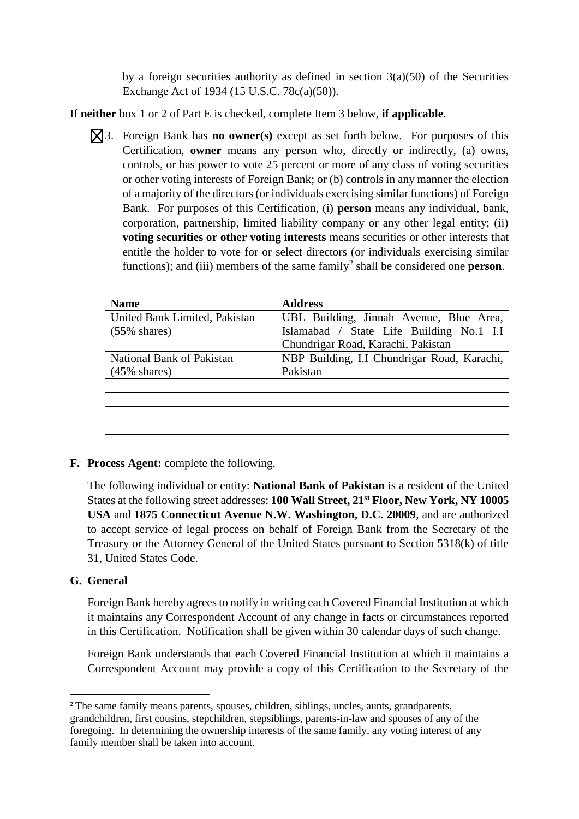by a foreign securities authority as defined in section  $3(a)(50)$  of the Securities Exchange Act of 1934 (15 U.S.C. 78c(a)(50)).

If **neither** box 1 or 2 of Part E is checked, complete Item 3 below, **if applicable**.

3. Foreign Bank has **no owner(s)** except as set forth below. For purposes of this Certification, **owner** means any person who, directly or indirectly, (a) owns, controls, or has power to vote 25 percent or more of any class of voting securities or other voting interests of Foreign Bank; or (b) controls in any manner the election of a majority of the directors (or individuals exercising similar functions) of Foreign Bank. For purposes of this Certification, (i) **person** means any individual, bank, corporation, partnership, limited liability company or any other legal entity; (ii) **voting securities or other voting interests** means securities or other interests that entitle the holder to vote for or select directors (or individuals exercising similar functions); and (iii) members of the same  $family<sup>2</sup>$  shall be considered one **person**.

| <b>Name</b>                   | <b>Address</b>                              |
|-------------------------------|---------------------------------------------|
| United Bank Limited, Pakistan | UBL Building, Jinnah Avenue, Blue Area,     |
| $(55\% \text{ shares})$       | Islamabad / State Life Building No.1 I.I    |
|                               | Chundrigar Road, Karachi, Pakistan          |
| National Bank of Pakistan     | NBP Building, I.I Chundrigar Road, Karachi, |
| $(45\% \text{ shares})$       | Pakistan                                    |
|                               |                                             |
|                               |                                             |
|                               |                                             |
|                               |                                             |

## **F. Process Agent:** complete the following.

The following individual or entity: **National Bank of Pakistan** is a resident of the United States at the following street addresses: **100 Wall Street, 21st Floor, New York, NY 10005 USA** and **1875 Connecticut Avenue N.W. Washington, D.C. 20009**, and are authorized to accept service of legal process on behalf of Foreign Bank from the Secretary of the Treasury or the Attorney General of the United States pursuant to Section 5318(k) of title 31, United States Code.

## **G. General**

**.** 

Foreign Bank hereby agrees to notify in writing each Covered Financial Institution at which it maintains any Correspondent Account of any change in facts or circumstances reported in this Certification. Notification shall be given within 30 calendar days of such change.

Foreign Bank understands that each Covered Financial Institution at which it maintains a Correspondent Account may provide a copy of this Certification to the Secretary of the

<sup>&</sup>lt;sup>2</sup> The same family means parents, spouses, children, siblings, uncles, aunts, grandparents, grandchildren, first cousins, stepchildren, stepsiblings, parents-in-law and spouses of any of the foregoing. In determining the ownership interests of the same family, any voting interest of any family member shall be taken into account.